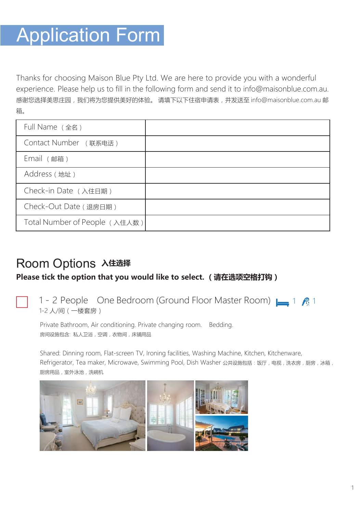## **Application Form**

Thanks for choosing Maison Blue Pty Ltd. We are here to provide you with a wonderful experience. Please help us to fill in the following form and send it to [info@maisonblue.com.au.](mailto:info@auson.com.au) 感谢您选择美思庄园,我们将为您提供美好的体验。 [请填下以下住宿申请表,并发送至](mailto:并发送至info@auson.com.au邮箱) info@maisonblue.com.au 邮 [箱。](mailto:并发送至info@auson.com.au邮箱)

| Full Name (全名)                |  |
|-------------------------------|--|
| Contact Number (联系电话)         |  |
| Email (邮箱)                    |  |
| Address (地址)                  |  |
| Check-in Date (入住日期)          |  |
| Check-Out Date (退房日期)         |  |
| Total Number of People (入住人数) |  |

## Room Options **入住选择**

#### **Please tick the option that you would like to select. (请在选项空格打钩)**

### 1 - 2 People One Bedroom (Ground Floor Master Room) **1** 1 **2** 1 1-2 人/间(一楼套房)

Private Bathroom, Air conditioning. Private changing room. Bedding. 房间设施包含: 私人卫浴, 空调, 衣物间, 床铺用品

Shared: Dinning room, Flat-screen TV, Ironing facilities, Washing Machine, Kitchen, Kitchenware, Refrigerator, Tea maker, Microwave, Swimming Pool, Dish Washer 公共设施包括:饭厅, 电视, 洗衣房, 厨房, 冰箱, 厨房用品,室外泳池,洗碗机

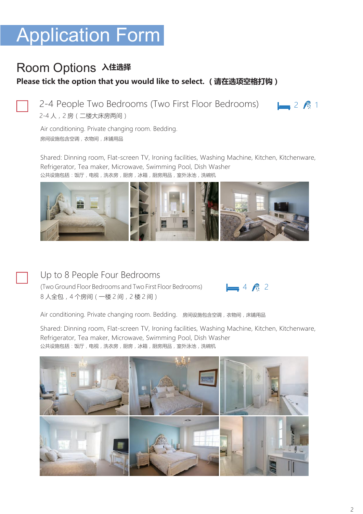# **Application Form**

### Room Options **入住选择**

#### **Please tick the option that you would like to select. (请在选项空格打钩)**

2-4 People Two Bedrooms (Two First Floor Bedrooms) **1** 2 **2** 1 2-4 人,2 房(二楼大床房两间)

Air conditioning. Private changing room. Bedding. 房间设施包含空调,衣物间,床铺用品

Shared: Dinning room, Flat-screen TV, Ironing facilities, Washing Machine, Kitchen, Kitchenware, Refrigerator, Tea maker, Microwave, Swimming Pool, Dish Washer 公共设施包括:饭厅,电视,洗衣房,厨房,冰箱,厨房用品,室外泳池,洗碗机



#### Up to 8 People Four Bedrooms

(Two Ground Floor Bedrooms and Two First Floor Bedrooms)  $\Box$  4  $\land$  2 8 人全包,4 个房间(一楼 2 间,2 楼 2 间)

Air conditioning. Private changing room. Bedding. 房间设施包含空调,衣物间,床铺用品

Shared: Dinning room, Flat-screen TV, Ironing facilities, Washing Machine, Kitchen, Kitchenware, Refrigerator, Tea maker, Microwave, Swimming Pool, Dish Washer 公共设施包括:饭厅,电视,洗衣房,厨房,冰箱,厨房用品,室外泳池,洗碗机